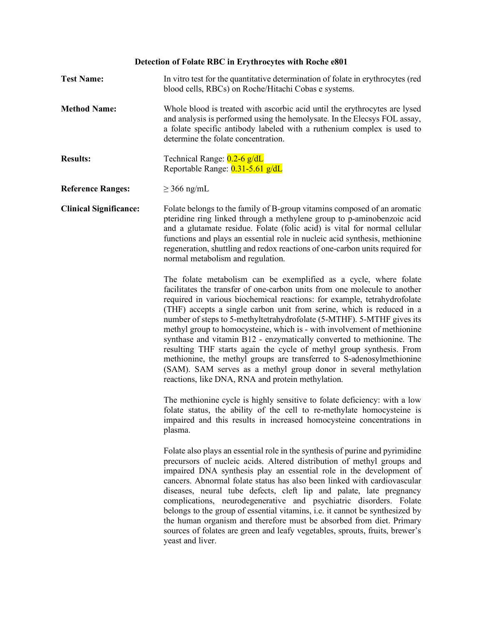# **Detection of Folate RBC in Erythrocytes with Roche e801**

| <b>Test Name:</b>             | In vitro test for the quantitative determination of folate in erythrocytes (red<br>blood cells, RBCs) on Roche/Hitachi Cobas e systems.                                                                                                                                                                                                                                                                                                                                                                                                                                                                                                                                                                                                                                                                     |
|-------------------------------|-------------------------------------------------------------------------------------------------------------------------------------------------------------------------------------------------------------------------------------------------------------------------------------------------------------------------------------------------------------------------------------------------------------------------------------------------------------------------------------------------------------------------------------------------------------------------------------------------------------------------------------------------------------------------------------------------------------------------------------------------------------------------------------------------------------|
| <b>Method Name:</b>           | Whole blood is treated with ascorbic acid until the erythrocytes are lysed<br>and analysis is performed using the hemolysate. In the Elecsys FOL assay,<br>a folate specific antibody labeled with a ruthenium complex is used to<br>determine the folate concentration.                                                                                                                                                                                                                                                                                                                                                                                                                                                                                                                                    |
| <b>Results:</b>               | Technical Range: 0.2-6 g/dL<br>Reportable Range: 0.31-5.61 g/dL                                                                                                                                                                                                                                                                                                                                                                                                                                                                                                                                                                                                                                                                                                                                             |
| <b>Reference Ranges:</b>      | $\geq$ 366 ng/mL                                                                                                                                                                                                                                                                                                                                                                                                                                                                                                                                                                                                                                                                                                                                                                                            |
| <b>Clinical Significance:</b> | Folate belongs to the family of B-group vitamins composed of an aromatic<br>pteridine ring linked through a methylene group to p-aminobenzoic acid<br>and a glutamate residue. Folate (folic acid) is vital for normal cellular<br>functions and plays an essential role in nucleic acid synthesis, methionine<br>regeneration, shuttling and redox reactions of one-carbon units required for<br>normal metabolism and regulation.                                                                                                                                                                                                                                                                                                                                                                         |
|                               | The folate metabolism can be exemplified as a cycle, where folate<br>facilitates the transfer of one-carbon units from one molecule to another<br>required in various biochemical reactions: for example, tetrahydrofolate<br>(THF) accepts a single carbon unit from serine, which is reduced in a<br>number of steps to 5-methyltetrahydrofolate (5-MTHF). 5-MTHF gives its<br>methyl group to homocysteine, which is - with involvement of methionine<br>synthase and vitamin B12 - enzymatically converted to methionine. The<br>resulting THF starts again the cycle of methyl group synthesis. From<br>methionine, the methyl groups are transferred to S-adenosylmethionine<br>(SAM). SAM serves as a methyl group donor in several methylation<br>reactions, like DNA, RNA and protein methylation. |
|                               | The methionine cycle is highly sensitive to folate deficiency: with a low<br>folate status, the ability of the cell to re-methylate homocysteine is<br>impaired and this results in increased homocysteine concentrations in<br>plasma.                                                                                                                                                                                                                                                                                                                                                                                                                                                                                                                                                                     |
|                               | Folate also plays an essential role in the synthesis of purine and pyrimidine<br>precursors of nucleic acids. Altered distribution of methyl groups and<br>impaired DNA synthesis play an essential role in the development of<br>cancers. Abnormal folate status has also been linked with cardiovascular<br>diseases, neural tube defects, cleft lip and palate, late pregnancy<br>complications, neurodegenerative and psychiatric disorders. Folate<br>belongs to the group of essential vitamins, i.e. it cannot be synthesized by<br>the human organism and therefore must be absorbed from diet. Primary<br>sources of folates are green and leafy vegetables, sprouts, fruits, brewer's<br>yeast and liver.                                                                                         |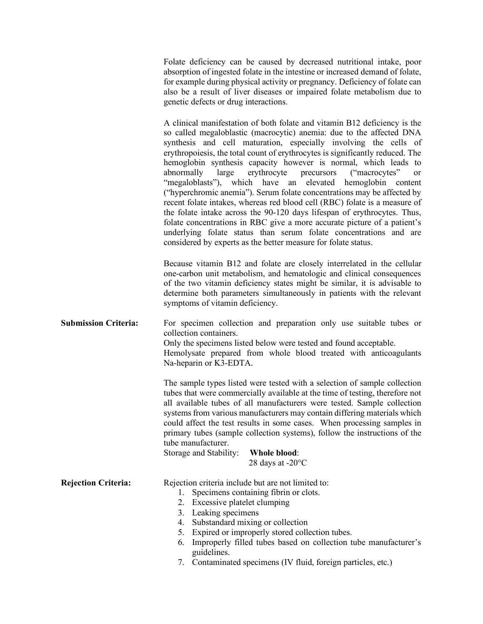Folate deficiency can be caused by decreased nutritional intake, poor absorption of ingested folate in the intestine or increased demand of folate, for example during physical activity or pregnancy. Deficiency of folate can also be a result of liver diseases or impaired folate metabolism due to genetic defects or drug interactions.

A clinical manifestation of both folate and vitamin B12 deficiency is the so called megaloblastic (macrocytic) anemia: due to the affected DNA synthesis and cell maturation, especially involving the cells of erythropoiesis, the total count of erythrocytes is significantly reduced. The hemoglobin synthesis capacity however is normal, which leads to abnormally large erythrocyte precursors ("macrocytes" or "megaloblasts"), which have an elevated hemoglobin content ("hyperchromic anemia"). Serum folate concentrations may be affected by recent folate intakes, whereas red blood cell (RBC) folate is a measure of the folate intake across the 90‑120 days lifespan of erythrocytes. Thus, folate concentrations in RBC give a more accurate picture of a patient's underlying folate status than serum folate concentrations and are considered by experts as the better measure for folate status.

Because vitamin B12 and folate are closely interrelated in the cellular one‑carbon unit metabolism, and hematologic and clinical consequences of the two vitamin deficiency states might be similar, it is advisable to determine both parameters simultaneously in patients with the relevant symptoms of vitamin deficiency.

**Submission Criteria:** For specimen collection and preparation only use suitable tubes or collection containers. Only the specimens listed below were tested and found acceptable. Hemolysate prepared from whole blood treated with anticoagulants Na‑heparin or K3‑EDTA.

> The sample types listed were tested with a selection of sample collection tubes that were commercially available at the time of testing, therefore not all available tubes of all manufacturers were tested. Sample collection systems from various manufacturers may contain differing materials which could affect the test results in some cases. When processing samples in primary tubes (sample collection systems), follow the instructions of the tube manufacturer.

| Storage and Stability: | Whole blood:               |
|------------------------|----------------------------|
|                        | 28 days at $-20^{\circ}$ C |

**Rejection Criteria:** Rejection criteria include but are not limited to:

- 1. Specimens containing fibrin or clots.
	- 2. Excessive platelet clumping
	- 3. Leaking specimens
	-
	- 4. Substandard mixing or collection
	- 5. Expired or improperly stored collection tubes.
	- 6. Improperly filled tubes based on collection tube manufacturer's guidelines.
	- 7. Contaminated specimens (IV fluid, foreign particles, etc.)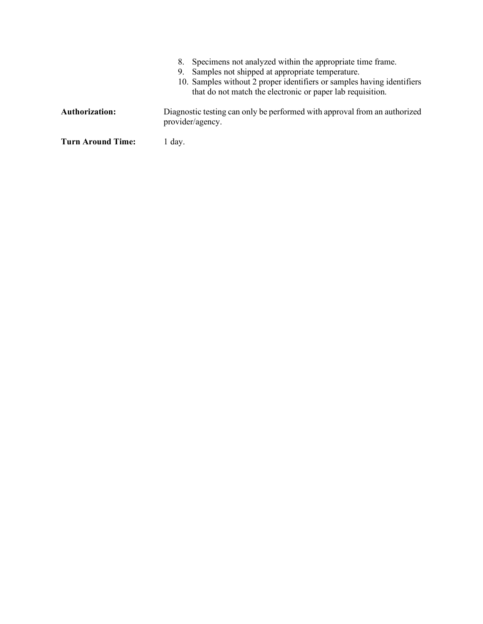|                       | Specimens not analyzed within the appropriate time frame.<br>8.<br>Samples not shipped at appropriate temperature.<br>9.<br>10. Samples without 2 proper identifiers or samples having identifiers<br>that do not match the electronic or paper lab requisition. |
|-----------------------|------------------------------------------------------------------------------------------------------------------------------------------------------------------------------------------------------------------------------------------------------------------|
| <b>Authorization:</b> | Diagnostic testing can only be performed with approval from an authorized<br>provider/agency.                                                                                                                                                                    |
| Turn Around Time:     | 1 day.                                                                                                                                                                                                                                                           |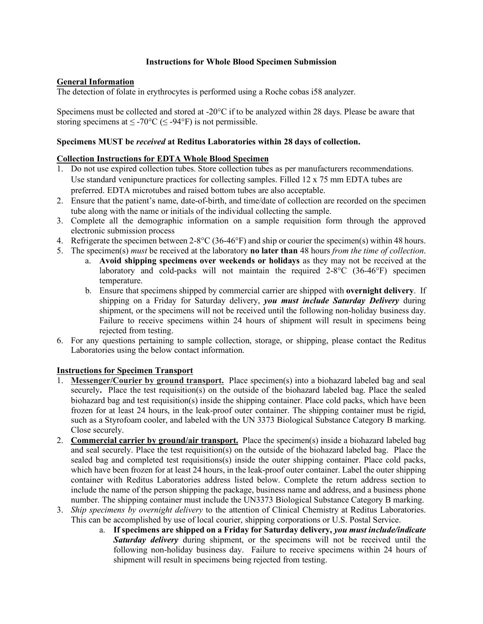#### **Instructions for Whole Blood Specimen Submission**

### **General Information**

The detection of folate in erythrocytes is performed using a Roche cobas i58 analyzer.

Specimens must be collected and stored at -20°C if to be analyzed within 28 days. Please be aware that storing specimens at  $\leq$  -70°C ( $\leq$  -94°F) is not permissible.

#### **Specimens MUST be** *received* **at Reditus Laboratories within 28 days of collection.**

### **Collection Instructions for EDTA Whole Blood Specimen**

- 1. Do not use expired collection tubes. Store collection tubes as per manufacturers recommendations. Use standard venipuncture practices for collecting samples. Filled 12 x 75 mm EDTA tubes are preferred. EDTA microtubes and raised bottom tubes are also acceptable.
- 2. Ensure that the patient's name, date-of-birth, and time/date of collection are recorded on the specimen tube along with the name or initials of the individual collecting the sample.
- 3. Complete all the demographic information on a sample requisition form through the approved electronic submission process
- 4. Refrigerate the specimen between 2-8°C (36-46°F) and ship or courier the specimen(s) within 48 hours.
- 5. The specimen(s) *must* be received at the laboratory **no later than** 48 hours *from the time of collection*.
	- a. **Avoid shipping specimens over weekends or holidays** as they may not be received at the laboratory and cold-packs will not maintain the required 2-8°C (36-46°F) specimen temperature.
	- b. Ensure that specimens shipped by commercial carrier are shipped with **overnight delivery**. If shipping on a Friday for Saturday delivery, *you must include Saturday Delivery* during shipment, or the specimens will not be received until the following non-holiday business day. Failure to receive specimens within 24 hours of shipment will result in specimens being rejected from testing.
- 6. For any questions pertaining to sample collection, storage, or shipping, please contact the Reditus Laboratories using the below contact information.

## **Instructions for Specimen Transport**

- 1. **Messenger/Courier by ground transport.** Place specimen(s) into a biohazard labeled bag and seal securely. Place the test requisition(s) on the outside of the biohazard labeled bag. Place the sealed biohazard bag and test requisition(s) inside the shipping container. Place cold packs, which have been frozen for at least 24 hours, in the leak-proof outer container. The shipping container must be rigid, such as a Styrofoam cooler, and labeled with the UN 3373 Biological Substance Category B marking. Close securely.
- 2. **Commercial carrier by ground/air transport.** Place the specimen(s) inside a biohazard labeled bag and seal securely. Place the test requisition(s) on the outside of the biohazard labeled bag. Place the sealed bag and completed test requisitions(s) inside the outer shipping container. Place cold packs, which have been frozen for at least 24 hours, in the leak-proof outer container. Label the outer shipping container with Reditus Laboratories address listed below. Complete the return address section to include the name of the person shipping the package, business name and address, and a business phone number. The shipping container must include the UN3373 Biological Substance Category B marking.
- 3. *Ship specimens by overnight delivery* to the attention of Clinical Chemistry at Reditus Laboratories. This can be accomplished by use of local courier, shipping corporations or U.S. Postal Service.
	- a. **If specimens are shipped on a Friday for Saturday delivery,** *you must include/indicate Saturday delivery* during shipment, or the specimens will not be received until the following non-holiday business day. Failure to receive specimens within 24 hours of shipment will result in specimens being rejected from testing.